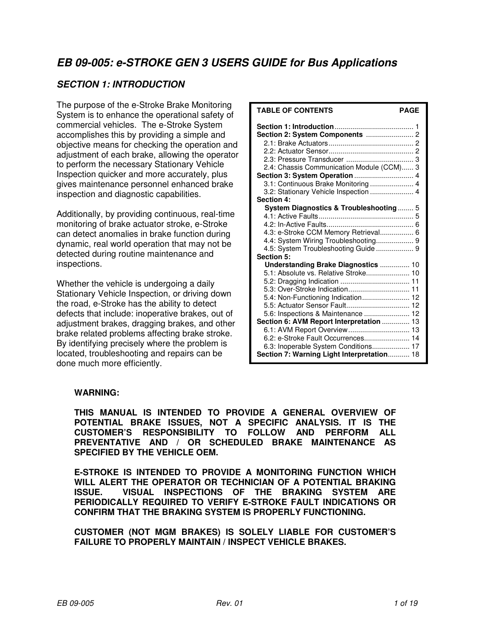# **EB 09-005: e-STROKE GEN 3 USERS GUIDE for Bus Applications**

# **SECTION 1: INTRODUCTION**

The purpose of the e-Stroke Brake Monitoring System is to enhance the operational safety of commercial vehicles. The e-Stroke System accomplishes this by providing a simple and objective means for checking the operation and adjustment of each brake, allowing the operator to perform the necessary Stationary Vehicle Inspection quicker and more accurately, plus gives maintenance personnel enhanced brake inspection and diagnostic capabilities.

Additionally, by providing continuous, real-time monitoring of brake actuator stroke, e-Stroke can detect anomalies in brake function during dynamic, real world operation that may not be detected during routine maintenance and inspections.

Whether the vehicle is undergoing a daily Stationary Vehicle Inspection, or driving down the road, e-Stroke has the ability to detect defects that include: inoperative brakes, out of adjustment brakes, dragging brakes, and other brake related problems affecting brake stroke. By identifying precisely where the problem is located, troubleshooting and repairs can be done much more efficiently.

| <b>TABLE OF CONTENTS</b>                                                                                                                                                                                                                                                                                                                                                                                                          | <b>PAGE</b> |
|-----------------------------------------------------------------------------------------------------------------------------------------------------------------------------------------------------------------------------------------------------------------------------------------------------------------------------------------------------------------------------------------------------------------------------------|-------------|
| 2.4: Chassis Communication Module (CCM) 3<br>Section 3: System Operation  4<br>3.1: Continuous Brake Monitoring  4<br>3.2: Stationary Vehicle Inspection  4                                                                                                                                                                                                                                                                       |             |
| Section 4:<br>System Diagnostics & Troubleshooting 5<br>4.3: e-Stroke CCM Memory Retrieval 6<br>4.4: System Wiring Troubleshooting 9<br>4.5: System Troubleshooting Guide  9<br>Section 5:                                                                                                                                                                                                                                        |             |
| Understanding Brake Diagnostics  10<br>5.1: Absolute vs. Relative Stroke 10<br>5.3: Over-Stroke Indication 11<br>5.4: Non-Functioning Indication 12<br>5.5: Actuator Sensor Fault 12<br>5.6: Inspections & Maintenance  12<br>Section 6: AVM Report Interpretation  13<br>6.1: AVM Report Overview 13<br>6.2: e-Stroke Fault Occurrences 14<br>6.3: Inoperable System Conditions 17<br>Section 7: Warning Light Interpretation 18 |             |

#### **WARNING:**

**THIS MANUAL IS INTENDED TO PROVIDE A GENERAL OVERVIEW OF POTENTIAL BRAKE ISSUES, NOT A SPECIFIC ANALYSIS. IT IS THE CUSTOMER'S RESPONSIBILITY TO FOLLOW AND PERFORM ALL PREVENTATIVE AND / OR SCHEDULED BRAKE MAINTENANCE AS SPECIFIED BY THE VEHICLE OEM.** 

**E-STROKE IS INTENDED TO PROVIDE A MONITORING FUNCTION WHICH WILL ALERT THE OPERATOR OR TECHNICIAN OF A POTENTIAL BRAKING ISSUE. VISUAL INSPECTIONS OF THE BRAKING SYSTEM ARE PERIODICALLY REQUIRED TO VERIFY E-STROKE FAULT INDICATIONS OR CONFIRM THAT THE BRAKING SYSTEM IS PROPERLY FUNCTIONING.** 

**CUSTOMER (NOT MGM BRAKES) IS SOLELY LIABLE FOR CUSTOMER'S FAILURE TO PROPERLY MAINTAIN / INSPECT VEHICLE BRAKES.**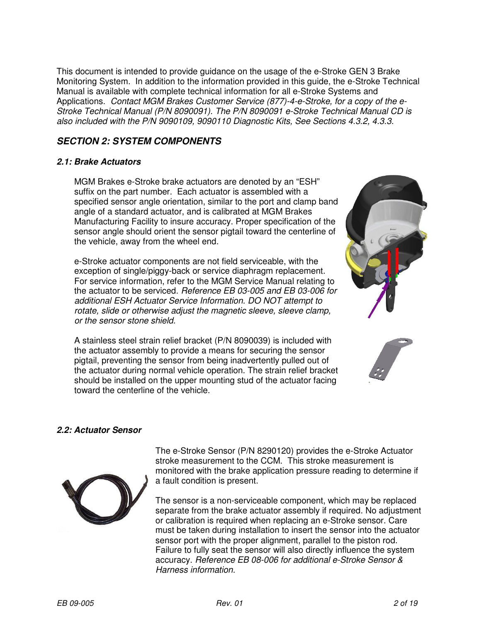This document is intended to provide guidance on the usage of the e-Stroke GEN 3 Brake Monitoring System. In addition to the information provided in this guide, the e-Stroke Technical Manual is available with complete technical information for all e-Stroke Systems and Applications. Contact MGM Brakes Customer Service (877)-4-e-Stroke, for a copy of the e-Stroke Technical Manual (P/N 8090091). The P/N 8090091 e-Stroke Technical Manual CD is also included with the P/N 9090109, 9090110 Diagnostic Kits, See Sections 4.3.2, 4.3.3.

# **SECTION 2: SYSTEM COMPONENTS**

#### **2.1: Brake Actuators**

MGM Brakes e-Stroke brake actuators are denoted by an "ESH" suffix on the part number. Each actuator is assembled with a specified sensor angle orientation, similar to the port and clamp band angle of a standard actuator, and is calibrated at MGM Brakes Manufacturing Facility to insure accuracy. Proper specification of the sensor angle should orient the sensor pigtail toward the centerline of the vehicle, away from the wheel end.

e-Stroke actuator components are not field serviceable, with the exception of single/piggy-back or service diaphragm replacement. For service information, refer to the MGM Service Manual relating to the actuator to be serviced. Reference EB 03-005 and EB 03-006 for additional ESH Actuator Service Information. DO NOT attempt to rotate, slide or otherwise adjust the magnetic sleeve, sleeve clamp, or the sensor stone shield.

A stainless steel strain relief bracket (P/N 8090039) is included with the actuator assembly to provide a means for securing the sensor pigtail, preventing the sensor from being inadvertently pulled out of the actuator during normal vehicle operation. The strain relief bracket should be installed on the upper mounting stud of the actuator facing toward the centerline of the vehicle.





# **2.2: Actuator Sensor**

The e-Stroke Sensor (P/N 8290120) provides the e-Stroke Actuator stroke measurement to the CCM. This stroke measurement is monitored with the brake application pressure reading to determine if a fault condition is present.

The sensor is a non-serviceable component, which may be replaced separate from the brake actuator assembly if required. No adjustment or calibration is required when replacing an e-Stroke sensor. Care must be taken during installation to insert the sensor into the actuator sensor port with the proper alignment, parallel to the piston rod. Failure to fully seat the sensor will also directly influence the system accuracy. Reference EB 08-006 for additional e-Stroke Sensor & Harness information.

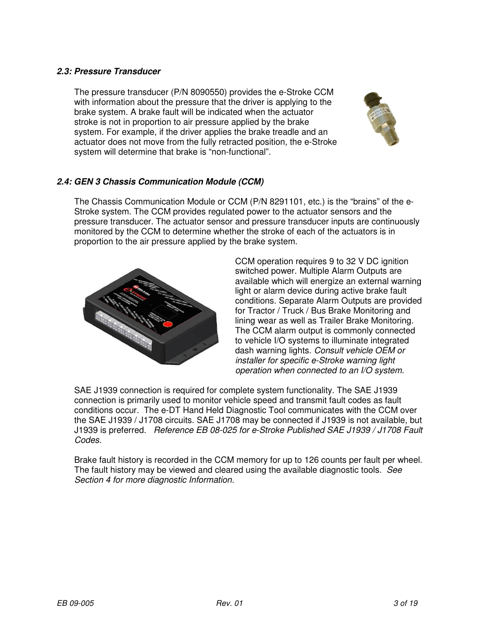#### **2.3: Pressure Transducer**

The pressure transducer (P/N 8090550) provides the e-Stroke CCM with information about the pressure that the driver is applying to the brake system. A brake fault will be indicated when the actuator stroke is not in proportion to air pressure applied by the brake system. For example, if the driver applies the brake treadle and an actuator does not move from the fully retracted position, the e-Stroke system will determine that brake is "non-functional".



# **2.4: GEN 3 Chassis Communication Module (CCM)**

The Chassis Communication Module or CCM (P/N 8291101, etc.) is the "brains" of the e-Stroke system. The CCM provides regulated power to the actuator sensors and the pressure transducer. The actuator sensor and pressure transducer inputs are continuously monitored by the CCM to determine whether the stroke of each of the actuators is in proportion to the air pressure applied by the brake system.



CCM operation requires 9 to 32 V DC ignition switched power. Multiple Alarm Outputs are available which will energize an external warning light or alarm device during active brake fault conditions. Separate Alarm Outputs are provided for Tractor / Truck / Bus Brake Monitoring and lining wear as well as Trailer Brake Monitoring. The CCM alarm output is commonly connected to vehicle I/O systems to illuminate integrated dash warning lights. Consult vehicle OEM or installer for specific e-Stroke warning light operation when connected to an I/O system.

SAE J1939 connection is required for complete system functionality. The SAE J1939 connection is primarily used to monitor vehicle speed and transmit fault codes as fault conditions occur. The e-DT Hand Held Diagnostic Tool communicates with the CCM over the SAE J1939 / J1708 circuits. SAE J1708 may be connected if J1939 is not available, but J1939 is preferred. Reference EB 08-025 for e-Stroke Published SAE J1939 / J1708 Fault Codes.

Brake fault history is recorded in the CCM memory for up to 126 counts per fault per wheel. The fault history may be viewed and cleared using the available diagnostic tools. See Section 4 for more diagnostic Information.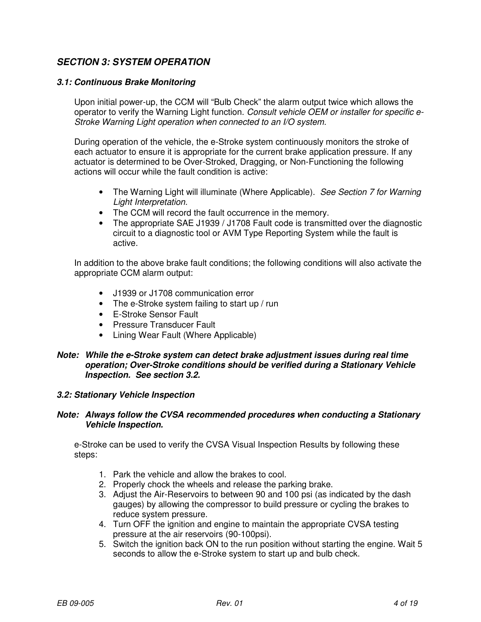# **SECTION 3: SYSTEM OPERATION**

#### **3.1: Continuous Brake Monitoring**

Upon initial power-up, the CCM will "Bulb Check" the alarm output twice which allows the operator to verify the Warning Light function. Consult vehicle OEM or installer for specific e-Stroke Warning Light operation when connected to an I/O system.

During operation of the vehicle, the e-Stroke system continuously monitors the stroke of each actuator to ensure it is appropriate for the current brake application pressure. If any actuator is determined to be Over-Stroked, Dragging, or Non-Functioning the following actions will occur while the fault condition is active:

- The Warning Light will illuminate (Where Applicable). See Section 7 for Warning Light Interpretation.
- The CCM will record the fault occurrence in the memory.
- The appropriate SAE J1939 / J1708 Fault code is transmitted over the diagnostic circuit to a diagnostic tool or AVM Type Reporting System while the fault is active.

In addition to the above brake fault conditions; the following conditions will also activate the appropriate CCM alarm output:

- J1939 or J1708 communication error
- The e-Stroke system failing to start up / run
- E-Stroke Sensor Fault
- Pressure Transducer Fault
- Lining Wear Fault (Where Applicable)
- **Note: While the e-Stroke system can detect brake adjustment issues during real time operation; Over-Stroke conditions should be verified during a Stationary Vehicle Inspection. See section 3.2.**

#### **3.2: Stationary Vehicle Inspection**

#### **Note: Always follow the CVSA recommended procedures when conducting a Stationary Vehicle Inspection.**

e-Stroke can be used to verify the CVSA Visual Inspection Results by following these steps:

- 1. Park the vehicle and allow the brakes to cool.
- 2. Properly chock the wheels and release the parking brake.
- 3. Adjust the Air-Reservoirs to between 90 and 100 psi (as indicated by the dash gauges) by allowing the compressor to build pressure or cycling the brakes to reduce system pressure.
- 4. Turn OFF the ignition and engine to maintain the appropriate CVSA testing pressure at the air reservoirs (90-100psi).
- 5. Switch the ignition back ON to the run position without starting the engine. Wait 5 seconds to allow the e-Stroke system to start up and bulb check.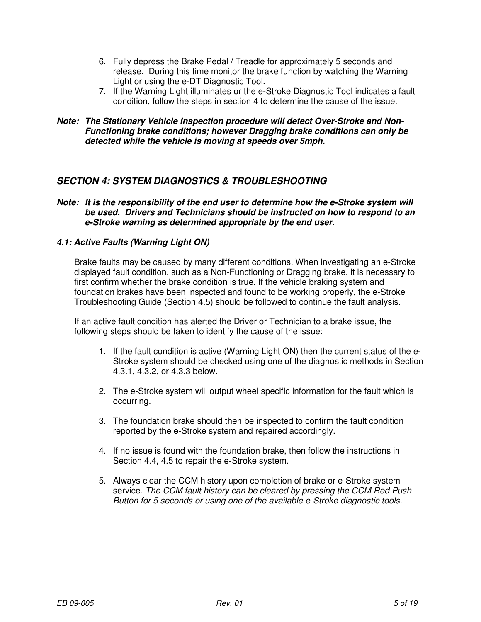- 6. Fully depress the Brake Pedal / Treadle for approximately 5 seconds and release. During this time monitor the brake function by watching the Warning Light or using the e-DT Diagnostic Tool.
- 7. If the Warning Light illuminates or the e-Stroke Diagnostic Tool indicates a fault condition, follow the steps in section 4 to determine the cause of the issue.

#### **Note: The Stationary Vehicle Inspection procedure will detect Over-Stroke and Non-Functioning brake conditions; however Dragging brake conditions can only be detected while the vehicle is moving at speeds over 5mph.**

## **SECTION 4: SYSTEM DIAGNOSTICS & TROUBLESHOOTING**

#### **Note: It is the responsibility of the end user to determine how the e-Stroke system will be used. Drivers and Technicians should be instructed on how to respond to an e-Stroke warning as determined appropriate by the end user.**

## **4.1: Active Faults (Warning Light ON)**

Brake faults may be caused by many different conditions. When investigating an e-Stroke displayed fault condition, such as a Non-Functioning or Dragging brake, it is necessary to first confirm whether the brake condition is true. If the vehicle braking system and foundation brakes have been inspected and found to be working properly, the e-Stroke Troubleshooting Guide (Section 4.5) should be followed to continue the fault analysis.

If an active fault condition has alerted the Driver or Technician to a brake issue, the following steps should be taken to identify the cause of the issue:

- 1. If the fault condition is active (Warning Light ON) then the current status of the e-Stroke system should be checked using one of the diagnostic methods in Section 4.3.1, 4.3.2, or 4.3.3 below.
- 2. The e-Stroke system will output wheel specific information for the fault which is occurring.
- 3. The foundation brake should then be inspected to confirm the fault condition reported by the e-Stroke system and repaired accordingly.
- 4. If no issue is found with the foundation brake, then follow the instructions in Section 4.4, 4.5 to repair the e-Stroke system.
- 5. Always clear the CCM history upon completion of brake or e-Stroke system service. The CCM fault history can be cleared by pressing the CCM Red Push Button for 5 seconds or using one of the available e-Stroke diagnostic tools.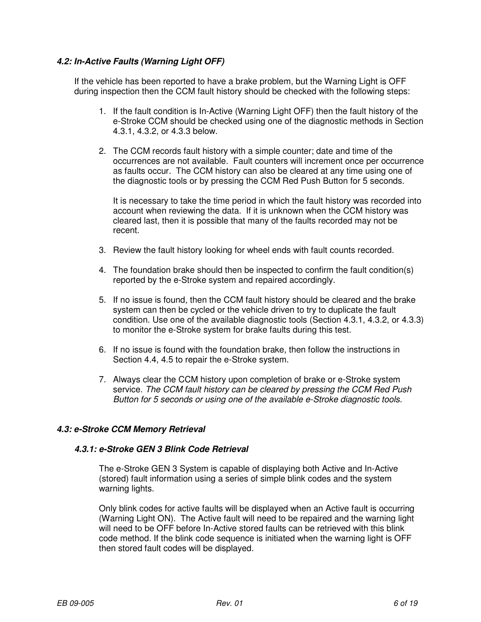## **4.2: In-Active Faults (Warning Light OFF)**

If the vehicle has been reported to have a brake problem, but the Warning Light is OFF during inspection then the CCM fault history should be checked with the following steps:

- 1. If the fault condition is In-Active (Warning Light OFF) then the fault history of the e-Stroke CCM should be checked using one of the diagnostic methods in Section 4.3.1, 4.3.2, or 4.3.3 below.
- 2. The CCM records fault history with a simple counter; date and time of the occurrences are not available. Fault counters will increment once per occurrence as faults occur. The CCM history can also be cleared at any time using one of the diagnostic tools or by pressing the CCM Red Push Button for 5 seconds.

It is necessary to take the time period in which the fault history was recorded into account when reviewing the data. If it is unknown when the CCM history was cleared last, then it is possible that many of the faults recorded may not be recent.

- 3. Review the fault history looking for wheel ends with fault counts recorded.
- 4. The foundation brake should then be inspected to confirm the fault condition(s) reported by the e-Stroke system and repaired accordingly.
- 5. If no issue is found, then the CCM fault history should be cleared and the brake system can then be cycled or the vehicle driven to try to duplicate the fault condition. Use one of the available diagnostic tools (Section 4.3.1, 4.3.2, or 4.3.3) to monitor the e-Stroke system for brake faults during this test.
- 6. If no issue is found with the foundation brake, then follow the instructions in Section 4.4, 4.5 to repair the e-Stroke system.
- 7. Always clear the CCM history upon completion of brake or e-Stroke system service. The CCM fault history can be cleared by pressing the CCM Red Push Button for 5 seconds or using one of the available e-Stroke diagnostic tools.

#### **4.3: e-Stroke CCM Memory Retrieval**

#### **4.3.1: e-Stroke GEN 3 Blink Code Retrieval**

The e-Stroke GEN 3 System is capable of displaying both Active and In-Active (stored) fault information using a series of simple blink codes and the system warning lights.

Only blink codes for active faults will be displayed when an Active fault is occurring (Warning Light ON). The Active fault will need to be repaired and the warning light will need to be OFF before In-Active stored faults can be retrieved with this blink code method. If the blink code sequence is initiated when the warning light is OFF then stored fault codes will be displayed.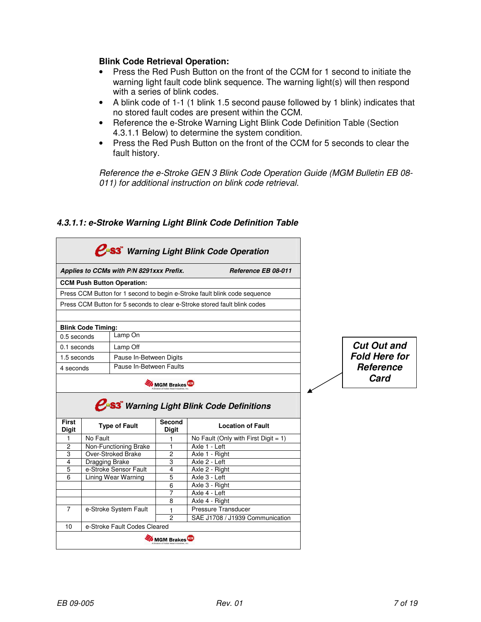#### **Blink Code Retrieval Operation:**

- Press the Red Push Button on the front of the CCM for 1 second to initiate the warning light fault code blink sequence. The warning light(s) will then respond with a series of blink codes.
- A blink code of 1-1 (1 blink 1.5 second pause followed by 1 blink) indicates that no stored fault codes are present within the CCM.
- Reference the e-Stroke Warning Light Blink Code Definition Table (Section 4.3.1.1 Below) to determine the system condition.
- Press the Red Push Button on the front of the CCM for 5 seconds to clear the fault history.

Reference the e-Stroke GEN 3 Blink Code Operation Guide (MGM Bulletin EB 08- 011) for additional instruction on blink code retrieval.

# **4.3.1.1: e-Stroke Warning Light Blink Code Definition Table**

|                     |                                        | Applies to CCMs with P/N 8291xxx Prefix.    |                     | Reference EB 08-011                                                                                    |                      |
|---------------------|----------------------------------------|---------------------------------------------|---------------------|--------------------------------------------------------------------------------------------------------|----------------------|
|                     |                                        | <b>CCM Push Button Operation:</b>           |                     |                                                                                                        |                      |
|                     |                                        |                                             |                     | Press CCM Button for 1 second to begin e-Stroke fault blink code sequence                              |                      |
|                     |                                        |                                             |                     | Press CCM Button for 5 seconds to clear e-Stroke stored fault blink codes                              |                      |
|                     |                                        |                                             |                     |                                                                                                        |                      |
|                     | <b>Blink Code Timing:</b>              |                                             |                     |                                                                                                        |                      |
| 0.5 seconds         |                                        | Lamp On                                     |                     |                                                                                                        |                      |
| 0.1 seconds         |                                        | Lamp Off                                    |                     |                                                                                                        | <b>Cut Out and</b>   |
|                     |                                        |                                             |                     |                                                                                                        | <b>Fold Here for</b> |
|                     | 1.5 seconds<br>Pause In-Between Digits |                                             |                     |                                                                                                        |                      |
|                     |                                        |                                             |                     |                                                                                                        |                      |
| 4 seconds           |                                        | Pause In-Between Faults                     |                     |                                                                                                        | <b>Reference</b>     |
|                     |                                        |                                             | <b>MGM Brakes</b>   |                                                                                                        | Card                 |
| <b>First</b>        |                                        | <b>Type of Fault</b>                        | Second              | <b>C</b> <sup>o</sup> S3 <sup>*</sup> Warning Light Blink Code Definitions<br><b>Location of Fault</b> |                      |
| <b>Digit</b>        |                                        |                                             | <b>Digit</b>        |                                                                                                        |                      |
| 1<br>$\overline{c}$ | No Fault                               |                                             | 1<br>1              | No Fault (Only with First Digit $= 1$ )<br>Axle 1 - Left                                               |                      |
| 3                   |                                        | Non-Functioning Brake<br>Over-Stroked Brake | $\overline{2}$      | Axle 1 - Right                                                                                         |                      |
| 4                   | Dragging Brake                         |                                             | 3                   | $\overline{Ax}$ le 2 - Left                                                                            |                      |
| 5                   |                                        | e-Stroke Sensor Fault                       | 4                   | Axle 2 - Right                                                                                         |                      |
| 6                   |                                        | Lining Wear Warning                         | 5                   | Axle 3 - Left                                                                                          |                      |
|                     |                                        |                                             | 6                   | Axle 3 - Right                                                                                         |                      |
|                     |                                        |                                             | 7                   | Axle 4 - Left                                                                                          |                      |
|                     |                                        |                                             | 8                   | Axle 4 - Right                                                                                         |                      |
| $\overline{7}$      |                                        | e-Stroke System Fault                       | 1<br>$\overline{2}$ | <b>Pressure Transducer</b><br>SAE J1708 / J1939 Communication                                          |                      |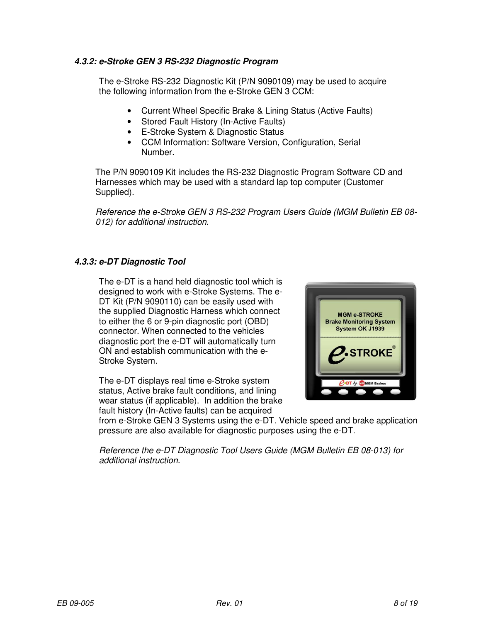#### **4.3.2: e-Stroke GEN 3 RS-232 Diagnostic Program**

The e-Stroke RS-232 Diagnostic Kit (P/N 9090109) may be used to acquire the following information from the e-Stroke GEN 3 CCM:

- Current Wheel Specific Brake & Lining Status (Active Faults)
- Stored Fault History (In-Active Faults)
- E-Stroke System & Diagnostic Status
- CCM Information: Software Version, Configuration, Serial Number.

The P/N 9090109 Kit includes the RS-232 Diagnostic Program Software CD and Harnesses which may be used with a standard lap top computer (Customer Supplied).

Reference the e-Stroke GEN 3 RS-232 Program Users Guide (MGM Bulletin EB 08- 012) for additional instruction.

## **4.3.3: e-DT Diagnostic Tool**

The e-DT is a hand held diagnostic tool which is designed to work with e-Stroke Systems. The e-DT Kit (P/N 9090110) can be easily used with the supplied Diagnostic Harness which connect to either the 6 or 9-pin diagnostic port (OBD) connector. When connected to the vehicles diagnostic port the e-DT will automatically turn ON and establish communication with the e-Stroke System.

The e-DT displays real time e-Stroke system status, Active brake fault conditions, and lining wear status (if applicable). In addition the brake fault history (In-Active faults) can be acquired



from e-Stroke GEN 3 Systems using the e-DT. Vehicle speed and brake application pressure are also available for diagnostic purposes using the e-DT.

Reference the e-DT Diagnostic Tool Users Guide (MGM Bulletin EB 08-013) for additional instruction.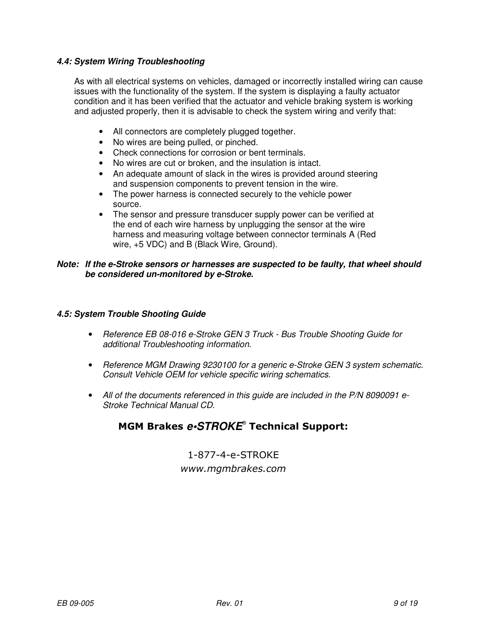#### **4.4: System Wiring Troubleshooting**

As with all electrical systems on vehicles, damaged or incorrectly installed wiring can cause issues with the functionality of the system. If the system is displaying a faulty actuator condition and it has been verified that the actuator and vehicle braking system is working and adjusted properly, then it is advisable to check the system wiring and verify that:

- All connectors are completely plugged together.
- No wires are being pulled, or pinched.
- Check connections for corrosion or bent terminals.
- No wires are cut or broken, and the insulation is intact.
- An adequate amount of slack in the wires is provided around steering and suspension components to prevent tension in the wire.
- The power harness is connected securely to the vehicle power source.
- The sensor and pressure transducer supply power can be verified at the end of each wire harness by unplugging the sensor at the wire harness and measuring voltage between connector terminals A (Red wire, +5 VDC) and B (Black Wire, Ground).

#### **Note: If the e-Stroke sensors or harnesses are suspected to be faulty, that wheel should be considered un-monitored by e-Stroke.**

#### **4.5: System Trouble Shooting Guide**

- Reference EB 08-016 e-Stroke GEN 3 Truck Bus Trouble Shooting Guide for additional Troubleshooting information.
- Reference MGM Drawing 9230100 for a generic e-Stroke GEN 3 system schematic. Consult Vehicle OEM for vehicle specific wiring schematics.
- All of the documents referenced in this quide are included in the P/N 8090091 e-Stroke Technical Manual CD.

# MGM Brakes **e•STROKE**® Technical Support:

1-877-4-e-STROKE www.mgmbrakes.com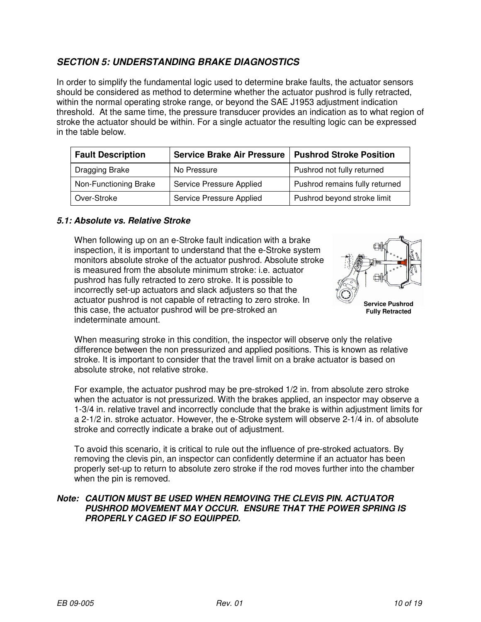# **SECTION 5: UNDERSTANDING BRAKE DIAGNOSTICS**

In order to simplify the fundamental logic used to determine brake faults, the actuator sensors should be considered as method to determine whether the actuator pushrod is fully retracted, within the normal operating stroke range, or beyond the SAE J1953 adjustment indication threshold. At the same time, the pressure transducer provides an indication as to what region of stroke the actuator should be within. For a single actuator the resulting logic can be expressed in the table below.

| <b>Fault Description</b> | <b>Service Brake Air Pressure</b> | <b>Pushrod Stroke Position</b> |  |
|--------------------------|-----------------------------------|--------------------------------|--|
| Dragging Brake           | No Pressure                       | Pushrod not fully returned     |  |
| Non-Functioning Brake    | Service Pressure Applied          | Pushrod remains fully returned |  |
| Over-Stroke              | Service Pressure Applied          | Pushrod beyond stroke limit    |  |

#### **5.1: Absolute vs. Relative Stroke**

When following up on an e-Stroke fault indication with a brake inspection, it is important to understand that the e-Stroke system monitors absolute stroke of the actuator pushrod. Absolute stroke is measured from the absolute minimum stroke: i.e. actuator pushrod has fully retracted to zero stroke. It is possible to incorrectly set-up actuators and slack adjusters so that the actuator pushrod is not capable of retracting to zero stroke. In this case, the actuator pushrod will be pre-stroked an indeterminate amount.



**Fully Retracted** 

When measuring stroke in this condition, the inspector will observe only the relative difference between the non pressurized and applied positions. This is known as relative stroke. It is important to consider that the travel limit on a brake actuator is based on absolute stroke, not relative stroke.

For example, the actuator pushrod may be pre-stroked 1/2 in. from absolute zero stroke when the actuator is not pressurized. With the brakes applied, an inspector may observe a 1-3/4 in. relative travel and incorrectly conclude that the brake is within adjustment limits for a 2-1/2 in. stroke actuator. However, the e-Stroke system will observe 2-1/4 in. of absolute stroke and correctly indicate a brake out of adjustment.

To avoid this scenario, it is critical to rule out the influence of pre-stroked actuators. By removing the clevis pin, an inspector can confidently determine if an actuator has been properly set-up to return to absolute zero stroke if the rod moves further into the chamber when the pin is removed.

#### **Note: CAUTION MUST BE USED WHEN REMOVING THE CLEVIS PIN. ACTUATOR PUSHROD MOVEMENT MAY OCCUR. ENSURE THAT THE POWER SPRING IS PROPERLY CAGED IF SO EQUIPPED.**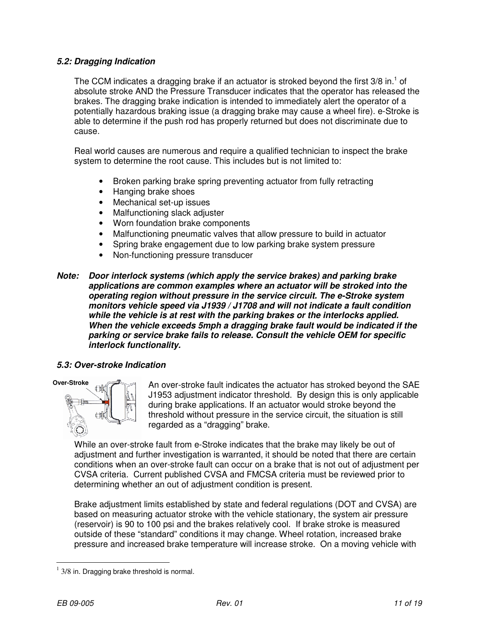#### **5.2: Dragging Indication**

The CCM indicates a dragging brake if an actuator is stroked beyond the first  $3/8$  in.<sup>1</sup> of absolute stroke AND the Pressure Transducer indicates that the operator has released the brakes. The dragging brake indication is intended to immediately alert the operator of a potentially hazardous braking issue (a dragging brake may cause a wheel fire). e-Stroke is able to determine if the push rod has properly returned but does not discriminate due to cause.

Real world causes are numerous and require a qualified technician to inspect the brake system to determine the root cause. This includes but is not limited to:

- Broken parking brake spring preventing actuator from fully retracting
- Hanging brake shoes
- Mechanical set-up issues
- Malfunctioning slack adjuster
- Worn foundation brake components
- Malfunctioning pneumatic valves that allow pressure to build in actuator
- Spring brake engagement due to low parking brake system pressure
- Non-functioning pressure transducer

#### **Note: Door interlock systems (which apply the service brakes) and parking brake applications are common examples where an actuator will be stroked into the operating region without pressure in the service circuit. The e-Stroke system monitors vehicle speed via J1939 / J1708 and will not indicate a fault condition while the vehicle is at rest with the parking brakes or the interlocks applied. When the vehicle exceeds 5mph a dragging brake fault would be indicated if the parking or service brake fails to release. Consult the vehicle OEM for specific interlock functionality.**

## **5.3: Over-stroke Indication**



An over-stroke fault indicates the actuator has stroked beyond the SAE J1953 adjustment indicator threshold. By design this is only applicable during brake applications. If an actuator would stroke beyond the threshold without pressure in the service circuit, the situation is still regarded as a "dragging" brake.

While an over-stroke fault from e-Stroke indicates that the brake may likely be out of adjustment and further investigation is warranted, it should be noted that there are certain conditions when an over-stroke fault can occur on a brake that is not out of adjustment per CVSA criteria. Current published CVSA and FMCSA criteria must be reviewed prior to determining whether an out of adjustment condition is present.

Brake adjustment limits established by state and federal regulations (DOT and CVSA) are based on measuring actuator stroke with the vehicle stationary, the system air pressure (reservoir) is 90 to 100 psi and the brakes relatively cool. If brake stroke is measured outside of these "standard" conditions it may change. Wheel rotation, increased brake pressure and increased brake temperature will increase stroke. On a moving vehicle with

 $\overline{a}$  $1$  3/8 in. Dragging brake threshold is normal.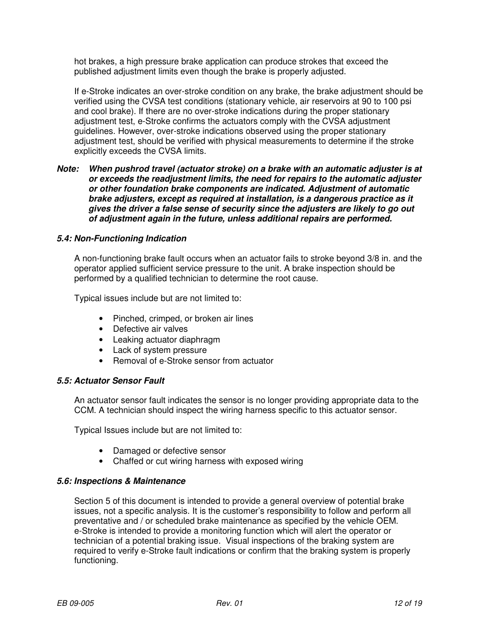hot brakes, a high pressure brake application can produce strokes that exceed the published adjustment limits even though the brake is properly adjusted.

If e-Stroke indicates an over-stroke condition on any brake, the brake adjustment should be verified using the CVSA test conditions (stationary vehicle, air reservoirs at 90 to 100 psi and cool brake). If there are no over-stroke indications during the proper stationary adjustment test, e-Stroke confirms the actuators comply with the CVSA adjustment guidelines. However, over-stroke indications observed using the proper stationary adjustment test, should be verified with physical measurements to determine if the stroke explicitly exceeds the CVSA limits.

#### **Note: When pushrod travel (actuator stroke) on a brake with an automatic adjuster is at or exceeds the readjustment limits, the need for repairs to the automatic adjuster or other foundation brake components are indicated. Adjustment of automatic brake adjusters, except as required at installation, is a dangerous practice as it gives the driver a false sense of security since the adjusters are likely to go out of adjustment again in the future, unless additional repairs are performed.**

#### **5.4: Non-Functioning Indication**

A non-functioning brake fault occurs when an actuator fails to stroke beyond 3/8 in. and the operator applied sufficient service pressure to the unit. A brake inspection should be performed by a qualified technician to determine the root cause.

Typical issues include but are not limited to:

- Pinched, crimped, or broken air lines
- Defective air valves
- Leaking actuator diaphragm
- Lack of system pressure
- Removal of e-Stroke sensor from actuator

#### **5.5: Actuator Sensor Fault**

An actuator sensor fault indicates the sensor is no longer providing appropriate data to the CCM. A technician should inspect the wiring harness specific to this actuator sensor.

Typical Issues include but are not limited to:

- Damaged or defective sensor
- Chaffed or cut wiring harness with exposed wiring

#### **5.6: Inspections & Maintenance**

Section 5 of this document is intended to provide a general overview of potential brake issues, not a specific analysis. It is the customer's responsibility to follow and perform all preventative and / or scheduled brake maintenance as specified by the vehicle OEM. e-Stroke is intended to provide a monitoring function which will alert the operator or technician of a potential braking issue. Visual inspections of the braking system are required to verify e-Stroke fault indications or confirm that the braking system is properly functioning.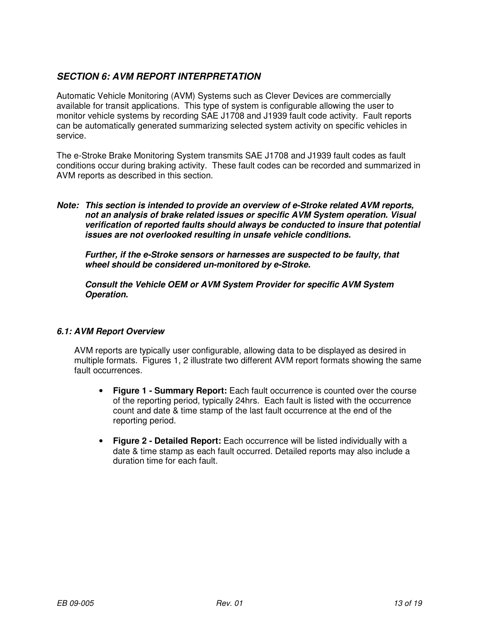# **SECTION 6: AVM REPORT INTERPRETATION**

Automatic Vehicle Monitoring (AVM) Systems such as Clever Devices are commercially available for transit applications. This type of system is configurable allowing the user to monitor vehicle systems by recording SAE J1708 and J1939 fault code activity. Fault reports can be automatically generated summarizing selected system activity on specific vehicles in service.

The e-Stroke Brake Monitoring System transmits SAE J1708 and J1939 fault codes as fault conditions occur during braking activity. These fault codes can be recorded and summarized in AVM reports as described in this section.

**Note: This section is intended to provide an overview of e-Stroke related AVM reports, not an analysis of brake related issues or specific AVM System operation. Visual verification of reported faults should always be conducted to insure that potential issues are not overlooked resulting in unsafe vehicle conditions.** 

**Further, if the e-Stroke sensors or harnesses are suspected to be faulty, that wheel should be considered un-monitored by e-Stroke.** 

**Consult the Vehicle OEM or AVM System Provider for specific AVM System Operation.** 

#### **6.1: AVM Report Overview**

AVM reports are typically user configurable, allowing data to be displayed as desired in multiple formats. Figures 1, 2 illustrate two different AVM report formats showing the same fault occurrences.

- **Figure 1 Summary Report:** Each fault occurrence is counted over the course of the reporting period, typically 24hrs. Each fault is listed with the occurrence count and date & time stamp of the last fault occurrence at the end of the reporting period.
- **Figure 2 Detailed Report:** Each occurrence will be listed individually with a date & time stamp as each fault occurred. Detailed reports may also include a duration time for each fault.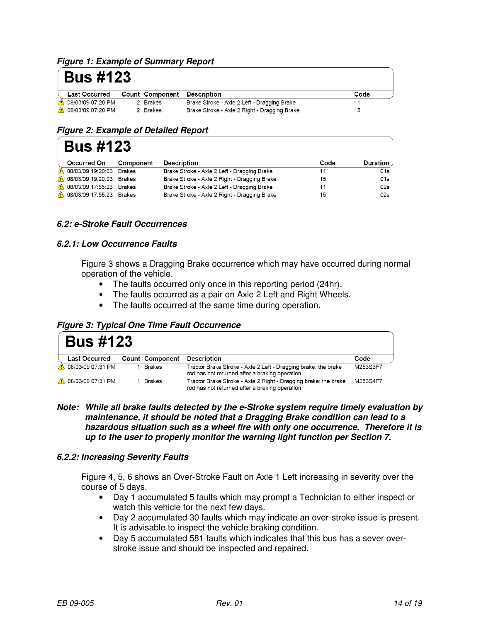#### **Figure 1: Example of Summary Report**

# **Bus #123**

| <b>Last Occurred</b>       |          | <b>Count Component Description</b>           | Code |
|----------------------------|----------|----------------------------------------------|------|
| <b>6</b> 08/03/09 07:20 PM | 2 Brakes | Brake Stroke - Axle 2 Left - Dragging Brake  |      |
| <b>6</b> 08/03/09 07:20 PM | 2 Brakes | Brake Stroke - Axle 2 Right - Dragging Brake | 15   |

## **Figure 2: Example of Detailed Report**

# **Bus #123**

| Occurred On              | Component | <b>Description</b>                           | Code | Duration |
|--------------------------|-----------|----------------------------------------------|------|----------|
| 19:20:03 Brakes          |           | Brake Stroke - Axle 2 Left - Dragging Brake  |      | 01s      |
| 08/03/09 19:20:03 Brakes |           | Brake Stroke - Axle 2 Right - Dragging Brake | 15   | 01s      |
| 08/03/09 17:55:23 Brakes |           | Brake Stroke - Axle 2 Left - Dragging Brake  |      | 02s      |
| 08/03/09 17:55:23 Brakes |           | Brake Stroke - Axle 2 Right - Dragging Brake | 15   | 02s      |

#### **6.2: e-Stroke Fault Occurrences**

#### **6.2.1: Low Occurrence Faults**

Figure 3 shows a Dragging Brake occurrence which may have occurred during normal operation of the vehicle.

- The faults occurred only once in this reporting period (24hr).
- The faults occurred as a pair on Axle 2 Left and Right Wheels.
- The faults occurred at the same time during operation.

#### **Figure 3: Typical One Time Fault Occurrence**

|    | <b>Bus #123</b>      |  |                        |                                                                                                                    |          |  |
|----|----------------------|--|------------------------|--------------------------------------------------------------------------------------------------------------------|----------|--|
|    | <b>Last Occurred</b> |  | <b>Count Component</b> | Description                                                                                                        | Code     |  |
| Æ. | 08/03/09 07:31 PM    |  | Brakes                 | Tractor Brake Stroke - Axle 2 Left - Dragging brake: the brake<br>rod has not returned after a braking operation.  | M253S3F7 |  |
|    | A 08/03/09 07:31 PM  |  | Brakes                 | Tractor Brake Stroke - Axle 2 Right - Dragging brake: the brake<br>rod has not returned after a braking operation. | M253S4F7 |  |

**Note: While all brake faults detected by the e-Stroke system require timely evaluation by maintenance, it should be noted that a Dragging Brake condition can lead to a hazardous situation such as a wheel fire with only one occurrence. Therefore it is up to the user to properly monitor the warning light function per Section 7.** 

#### **6.2.2: Increasing Severity Faults**

Figure 4, 5, 6 shows an Over-Stroke Fault on Axle 1 Left increasing in severity over the course of 5 days.

- Day 1 accumulated 5 faults which may prompt a Technician to either inspect or watch this vehicle for the next few days.
- Day 2 accumulated 30 faults which may indicate an over-stroke issue is present. It is advisable to inspect the vehicle braking condition.
- Day 5 accumulated 581 faults which indicates that this bus has a sever overstroke issue and should be inspected and repaired.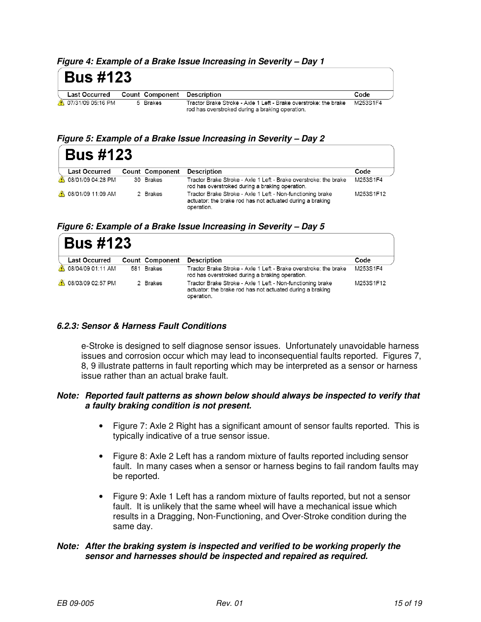**Figure 4: Example of a Brake Issue Increasing in Severity – Day 1** 

| <b>Bus #123</b>     |                                           |                                                                                                                     |          |
|---------------------|-------------------------------------------|---------------------------------------------------------------------------------------------------------------------|----------|
|                     | Last Occurred Count Component Description |                                                                                                                     | Code     |
| 4 07/31/09 05:16 PM | 5 Brakes                                  | Tractor Brake Stroke - Axle 1 Left - Brake overstroke: the brake<br>rod has overstroked during a braking operation. | M253S1F4 |

**Figure 5: Example of a Brake Issue Increasing in Severity – Day 2** 

|    | <b>Bus #123</b>            |  |                 |                                                                                                                                       |           |
|----|----------------------------|--|-----------------|---------------------------------------------------------------------------------------------------------------------------------------|-----------|
|    | <b>Last Occurred</b>       |  | Count Component | Description                                                                                                                           | Code      |
| Æ. | 08/01/09 04:28 PM          |  | 30 Brakes       | Tractor Brake Stroke - Axle 1 Left - Brake overstroke: the brake<br>rod has overstroked during a braking operation.                   | M253S1F4  |
|    | <b>8</b> 08/01/09 11:09 AM |  | 2 Brakes        | Tractor Brake Stroke - Axle 1 Left - Non-functioning brake<br>actuator: the brake rod has not actuated during a braking<br>operation. | M253S1F12 |

**Figure 6: Example of a Brake Issue Increasing in Severity – Day 5** 

| <b>Bus #123</b>      |  |                 |                                                                                                                                       |           |
|----------------------|--|-----------------|---------------------------------------------------------------------------------------------------------------------------------------|-----------|
| <b>Last Occurred</b> |  | Count Component | Description                                                                                                                           | Code      |
| 08/04/09 01:11 AM    |  | 581 Brakes      | Tractor Brake Stroke - Axle 1 Left - Brake overstroke: the brake<br>rod has overstroked during a braking operation.                   | M253S1F4  |
| 08/03/09 02:57 PM    |  | 2 Brakes        | Tractor Brake Stroke - Axle 1 Left - Non-functioning brake<br>actuator: the brake rod has not actuated during a braking<br>operation. | M253S1F12 |

#### **6.2.3: Sensor & Harness Fault Conditions**

e-Stroke is designed to self diagnose sensor issues. Unfortunately unavoidable harness issues and corrosion occur which may lead to inconsequential faults reported. Figures 7, 8, 9 illustrate patterns in fault reporting which may be interpreted as a sensor or harness issue rather than an actual brake fault.

#### **Note: Reported fault patterns as shown below should always be inspected to verify that a faulty braking condition is not present.**

- Figure 7: Axle 2 Right has a significant amount of sensor faults reported. This is typically indicative of a true sensor issue.
- Figure 8: Axle 2 Left has a random mixture of faults reported including sensor fault. In many cases when a sensor or harness begins to fail random faults may be reported.
- Figure 9: Axle 1 Left has a random mixture of faults reported, but not a sensor fault. It is unlikely that the same wheel will have a mechanical issue which results in a Dragging, Non-Functioning, and Over-Stroke condition during the same day.

#### **Note: After the braking system is inspected and verified to be working properly the sensor and harnesses should be inspected and repaired as required.**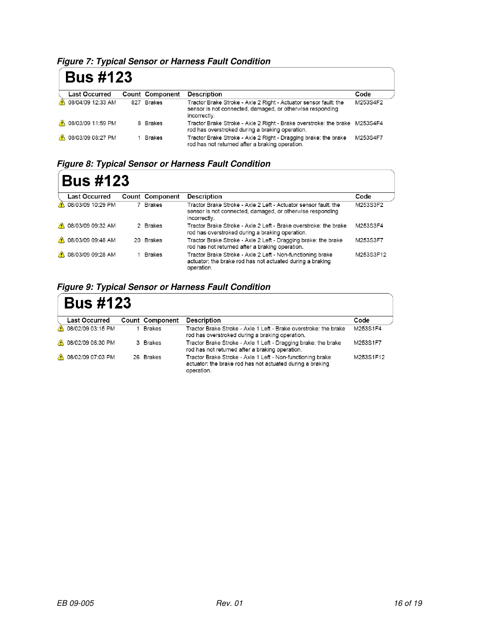**Figure 7: Typical Sensor or Harness Fault Condition**

| <b>Bus #123</b>            |                 |                                                                                                                                               |          |  |
|----------------------------|-----------------|-----------------------------------------------------------------------------------------------------------------------------------------------|----------|--|
| <b>Last Occurred</b>       | Count Component | <b>Description</b>                                                                                                                            | Code     |  |
| <b>08/04/09 12:33 AM</b>   | 827 Brakes      | Tractor Brake Stroke - Axle 2 Right - Actuator sensor fault: the<br>sensor is not connected, damaged, or otherwise responding<br>incorrectly. | M253S4F2 |  |
| <b>4 08/03/09 11:59 PM</b> | 8 Brakes        | Tractor Brake Stroke - Axle 2 Right - Brake overstroke: the brake M253S4F4<br>rod has overstroked during a braking operation.                 |          |  |
| <b>4 08/03/09 08:27 PM</b> | Brakes          | Tractor Brake Stroke - Axle 2 Right - Dragging brake: the brake<br>rod has not returned after a braking operation.                            | M253S4F7 |  |

**Figure 8: Typical Sensor or Harness Fault Condition**

| <b>Bus #123</b>         |  |                 |                                                                                                                                              |           |  |  |
|-------------------------|--|-----------------|----------------------------------------------------------------------------------------------------------------------------------------------|-----------|--|--|
| <b>Last Occurred</b>    |  | Count Component | <b>Description</b>                                                                                                                           | Code      |  |  |
| 08/03/09 10:29 PM       |  | 7 Brakes        | Tractor Brake Stroke - Axle 2 Left - Actuator sensor fault: the<br>sensor is not connected, damaged, or otherwise responding<br>incorrectly. | M253S3F2  |  |  |
| 08/03/09 09:32 AM<br>Æ. |  | 2 Brakes        | Tractor Brake Stroke - Axle 2 Left - Brake overstroke: the brake<br>rod has overstroked during a braking operation.                          | M253S3F4  |  |  |
| 08/03/09 09:48 AM<br>Æ. |  | 20 Brakes       | Tractor Brake Stroke - Axle 2 Left - Dragging brake: the brake<br>rod has not returned after a braking operation.                            | M253S3F7  |  |  |
| 08/03/09 09:28 AM       |  | <b>Brakes</b>   | Tractor Brake Stroke - Axle 2 Left - Non-functioning brake<br>actuator: the brake rod has not actuated during a braking<br>operation.        | M253S3F12 |  |  |

# **Figure 9: Typical Sensor or Harness Fault Condition**

| <b>Bus #123</b>            |  |                 |                                                                                                                                       |           |  |  |
|----------------------------|--|-----------------|---------------------------------------------------------------------------------------------------------------------------------------|-----------|--|--|
| <b>Last Occurred</b>       |  | Count Component | <b>Description</b>                                                                                                                    | Code      |  |  |
| 08/02/09 03:15 PM          |  | <b>Brakes</b>   | Tractor Brake Stroke - Axle 1 Left - Brake overstroke: the brake<br>rod has overstroked during a braking operation.                   | M253S1F4  |  |  |
| 1 08/02/09 06:30 PM        |  | 3 Brakes        | Tractor Brake Stroke - Axle 1 Left - Dragging brake: the brake<br>rod has not returned after a braking operation.                     | M253S1F7  |  |  |
| <b>6</b> 08/02/09 07:03 PM |  | 26 Brakes       | Tractor Brake Stroke - Axle 1 Left - Non-functioning brake<br>actuator: the brake rod has not actuated during a braking<br>operation. | M253S1F12 |  |  |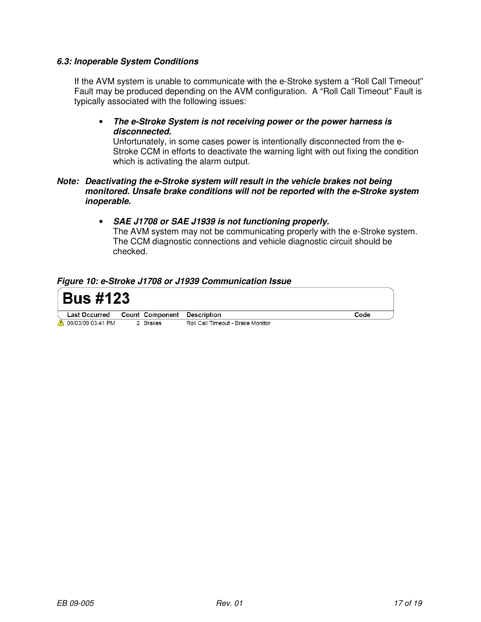#### **6.3: Inoperable System Conditions**

If the AVM system is unable to communicate with the e-Stroke system a "Roll Call Timeout" Fault may be produced depending on the AVM configuration. A "Roll Call Timeout" Fault is typically associated with the following issues:

#### • **The e-Stroke System is not receiving power or the power harness is disconnected.**

Unfortunately, in some cases power is intentionally disconnected from the e-Stroke CCM in efforts to deactivate the warning light with out fixing the condition which is activating the alarm output.

#### **Note: Deactivating the e-Stroke system will result in the vehicle brakes not being monitored. Unsafe brake conditions will not be reported with the e-Stroke system inoperable.**

• **SAE J1708 or SAE J1939 is not functioning properly.** 

The AVM system may not be communicating properly with the e-Stroke system. The CCM diagnostic connections and vehicle diagnostic circuit should be checked.

#### **Figure 10: e-Stroke J1708 or J1939 Communication Issue**

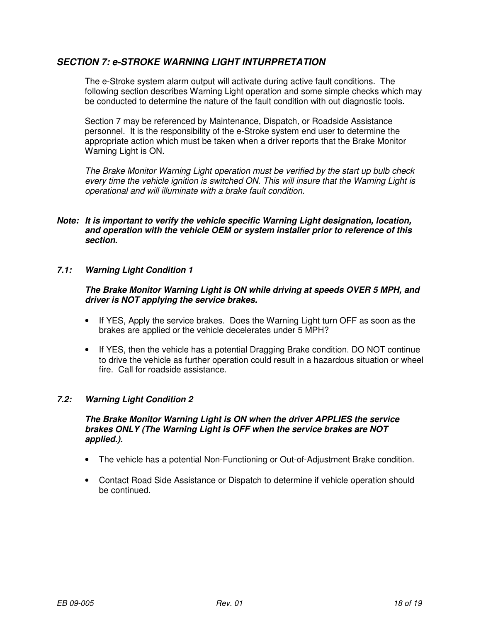# **SECTION 7: e-STROKE WARNING LIGHT INTURPRETATION**

The e-Stroke system alarm output will activate during active fault conditions. The following section describes Warning Light operation and some simple checks which may be conducted to determine the nature of the fault condition with out diagnostic tools.

Section 7 may be referenced by Maintenance, Dispatch, or Roadside Assistance personnel. It is the responsibility of the e-Stroke system end user to determine the appropriate action which must be taken when a driver reports that the Brake Monitor Warning Light is ON.

The Brake Monitor Warning Light operation must be verified by the start up bulb check every time the vehicle ignition is switched ON. This will insure that the Warning Light is operational and will illuminate with a brake fault condition.

- **Note: It is important to verify the vehicle specific Warning Light designation, location, and operation with the vehicle OEM or system installer prior to reference of this section.**
- **7.1: Warning Light Condition 1**

#### **The Brake Monitor Warning Light is ON while driving at speeds OVER 5 MPH, and driver is NOT applying the service brakes.**

- If YES, Apply the service brakes. Does the Warning Light turn OFF as soon as the brakes are applied or the vehicle decelerates under 5 MPH?
- If YES, then the vehicle has a potential Dragging Brake condition. DO NOT continue to drive the vehicle as further operation could result in a hazardous situation or wheel fire. Call for roadside assistance.

#### **7.2: Warning Light Condition 2**

#### **The Brake Monitor Warning Light is ON when the driver APPLIES the service brakes ONLY (The Warning Light is OFF when the service brakes are NOT applied.).**

- The vehicle has a potential Non-Functioning or Out-of-Adjustment Brake condition.
- Contact Road Side Assistance or Dispatch to determine if vehicle operation should be continued.